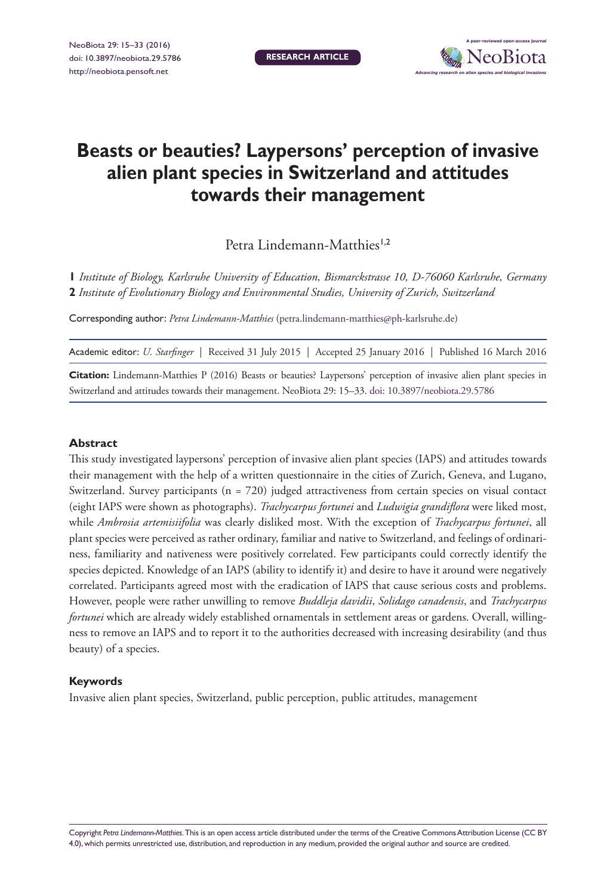**RESEARCH ARTICLE**



# **Beasts or beauties? Laypersons' perception of invasive alien plant species in Switzerland and attitudes towards their management**

Petra Lindemann-Matthies<sup>1,2</sup>

**1** *Institute of Biology, Karlsruhe University of Education, Bismarckstrasse 10, D-76060 Karlsruhe, Germany*  **2** *Institute of Evolutionary Biology and Environmental Studies, University of Zurich, Switzerland*

Corresponding author: *Petra Lindemann-Matthies* [\(petra.lindemann-matthies@ph-karlsruhe.de](mailto:petra.lindemann-matthies@ph-karlsruhe.de))

Academic editor: *U. Starfinger* | Received 31 July 2015 | Accepted 25 January 2016 | Published 16 March 2016

**Citation:** Lindemann-Matthies P (2016) Beasts or beauties? Laypersons' perception of invasive alien plant species in Switzerland and attitudes towards their management. NeoBiota 29: 15–33. [doi: 10.3897/neobiota.29.5786](http://dx.doi.org/10.3897/neobiota.29.5786)

#### **Abstract**

This study investigated laypersons' perception of invasive alien plant species (IAPS) and attitudes towards their management with the help of a written questionnaire in the cities of Zurich, Geneva, and Lugano, Switzerland. Survey participants (n = 720) judged attractiveness from certain species on visual contact (eight IAPS were shown as photographs). *Trachycarpus fortunei* and *Ludwigia grandiflora* were liked most, while *Ambrosia artemisiifolia* was clearly disliked most. With the exception of *Trachycarpus fortunei*, all plant species were perceived as rather ordinary, familiar and native to Switzerland, and feelings of ordinariness, familiarity and nativeness were positively correlated. Few participants could correctly identify the species depicted. Knowledge of an IAPS (ability to identify it) and desire to have it around were negatively correlated. Participants agreed most with the eradication of IAPS that cause serious costs and problems. However, people were rather unwilling to remove *Buddleja davidii*, *Solidago canadensis*, and *Trachycarpus fortunei* which are already widely established ornamentals in settlement areas or gardens. Overall, willingness to remove an IAPS and to report it to the authorities decreased with increasing desirability (and thus beauty) of a species.

#### **Keywords**

Invasive alien plant species, Switzerland, public perception, public attitudes, management

Copyright *Petra Lindemann-Matthies.* This is an open access article distributed under the terms of the [Creative Commons Attribution License \(CC BY](http://creativecommons.org/licenses/by/4.0/)  [4.0\),](http://creativecommons.org/licenses/by/4.0/) which permits unrestricted use, distribution, and reproduction in any medium, provided the original author and source are credited.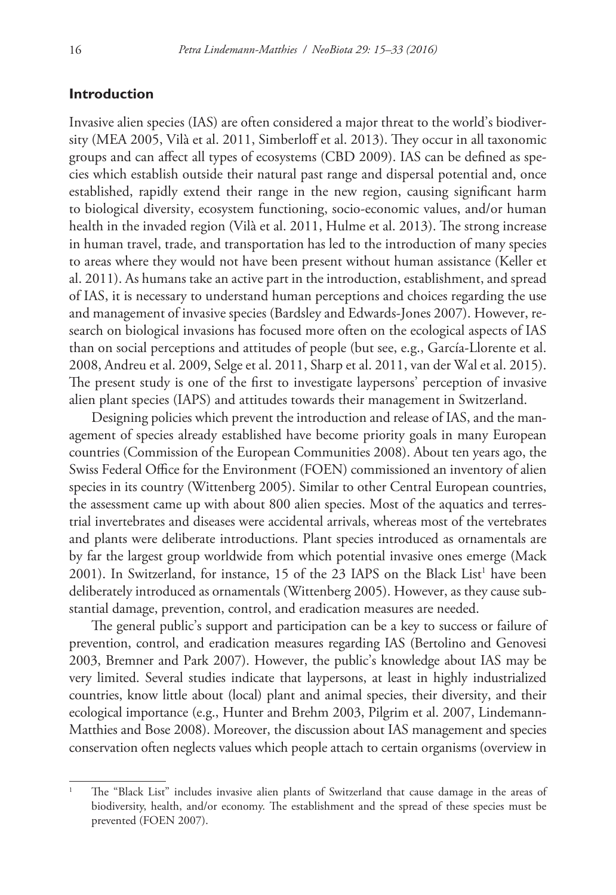## **Introduction**

Invasive alien species (IAS) are often considered a major threat to the world's biodiversity (MEA 2005, Vilà et al. 2011, Simberloff et al. 2013). They occur in all taxonomic groups and can affect all types of ecosystems (CBD 2009). IAS can be defined as species which establish outside their natural past range and dispersal potential and, once established, rapidly extend their range in the new region, causing significant harm to biological diversity, ecosystem functioning, socio-economic values, and/or human health in the invaded region (Vilà et al. 2011, Hulme et al. 2013). The strong increase in human travel, trade, and transportation has led to the introduction of many species to areas where they would not have been present without human assistance (Keller et al. 2011). As humans take an active part in the introduction, establishment, and spread of IAS, it is necessary to understand human perceptions and choices regarding the use and management of invasive species (Bardsley and Edwards-Jones 2007). However, research on biological invasions has focused more often on the ecological aspects of IAS than on social perceptions and attitudes of people (but see, e.g., García-Llorente et al. 2008, Andreu et al. 2009, Selge et al. 2011, Sharp et al. 2011, van der Wal et al. 2015). The present study is one of the first to investigate laypersons' perception of invasive alien plant species (IAPS) and attitudes towards their management in Switzerland.

Designing policies which prevent the introduction and release of IAS, and the management of species already established have become priority goals in many European countries (Commission of the European Communities 2008). About ten years ago, the Swiss Federal Office for the Environment (FOEN) commissioned an inventory of alien species in its country (Wittenberg 2005). Similar to other Central European countries, the assessment came up with about 800 alien species. Most of the aquatics and terrestrial invertebrates and diseases were accidental arrivals, whereas most of the vertebrates and plants were deliberate introductions. Plant species introduced as ornamentals are by far the largest group worldwide from which potential invasive ones emerge (Mack 2001). In Switzerland, for instance, 15 of the 23 IAPS on the Black List<sup>1</sup> have been deliberately introduced as ornamentals (Wittenberg 2005). However, as they cause substantial damage, prevention, control, and eradication measures are needed.

The general public's support and participation can be a key to success or failure of prevention, control, and eradication measures regarding IAS (Bertolino and Genovesi 2003, Bremner and Park 2007). However, the public's knowledge about IAS may be very limited. Several studies indicate that laypersons, at least in highly industrialized countries, know little about (local) plant and animal species, their diversity, and their ecological importance (e.g., Hunter and Brehm 2003, Pilgrim et al. 2007, Lindemann-Matthies and Bose 2008). Moreover, the discussion about IAS management and species conservation often neglects values which people attach to certain organisms (overview in

<sup>1</sup> The "Black List" includes invasive alien plants of Switzerland that cause damage in the areas of biodiversity, health, and/or economy. The establishment and the spread of these species must be prevented (FOEN 2007).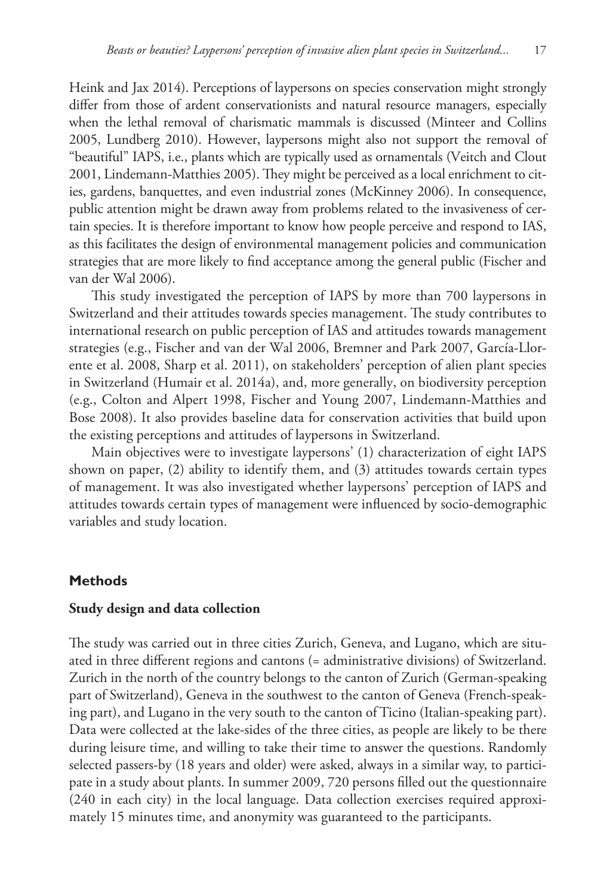Heink and Jax 2014). Perceptions of laypersons on species conservation might strongly differ from those of ardent conservationists and natural resource managers, especially when the lethal removal of charismatic mammals is discussed (Minteer and Collins 2005, Lundberg 2010). However, laypersons might also not support the removal of "beautiful" IAPS, i.e., plants which are typically used as ornamentals (Veitch and Clout 2001, Lindemann-Matthies 2005). They might be perceived as a local enrichment to cities, gardens, banquettes, and even industrial zones (McKinney 2006). In consequence, public attention might be drawn away from problems related to the invasiveness of certain species. It is therefore important to know how people perceive and respond to IAS, as this facilitates the design of environmental management policies and communication strategies that are more likely to find acceptance among the general public (Fischer and van der Wal 2006).

This study investigated the perception of IAPS by more than 700 laypersons in Switzerland and their attitudes towards species management. The study contributes to international research on public perception of IAS and attitudes towards management strategies (e.g., Fischer and van der Wal 2006, Bremner and Park 2007, García-Llorente et al. 2008, Sharp et al. 2011), on stakeholders' perception of alien plant species in Switzerland (Humair et al. 2014a), and, more generally, on biodiversity perception (e.g., Colton and Alpert 1998, Fischer and Young 2007, Lindemann-Matthies and Bose 2008). It also provides baseline data for conservation activities that build upon the existing perceptions and attitudes of laypersons in Switzerland.

Main objectives were to investigate laypersons' (1) characterization of eight IAPS shown on paper, (2) ability to identify them, and (3) attitudes towards certain types of management. It was also investigated whether laypersons' perception of IAPS and attitudes towards certain types of management were influenced by socio-demographic variables and study location.

## **Methods**

## **Study design and data collection**

The study was carried out in three cities Zurich, Geneva, and Lugano, which are situated in three different regions and cantons (= administrative divisions) of Switzerland. Zurich in the north of the country belongs to the canton of Zurich (German-speaking part of Switzerland), Geneva in the southwest to the canton of Geneva (French-speaking part), and Lugano in the very south to the canton of Ticino (Italian-speaking part). Data were collected at the lake-sides of the three cities, as people are likely to be there during leisure time, and willing to take their time to answer the questions. Randomly selected passers-by (18 years and older) were asked, always in a similar way, to participate in a study about plants. In summer 2009, 720 persons filled out the questionnaire (240 in each city) in the local language. Data collection exercises required approximately 15 minutes time, and anonymity was guaranteed to the participants.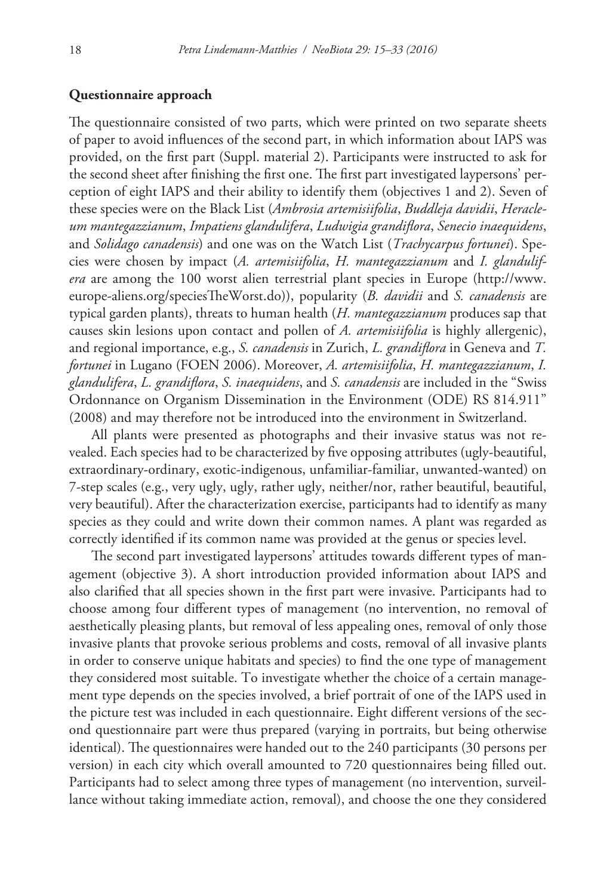# **Questionnaire approach**

The questionnaire consisted of two parts, which were printed on two separate sheets of paper to avoid influences of the second part, in which information about IAPS was provided, on the first part (Suppl. material 2). Participants were instructed to ask for the second sheet after finishing the first one. The first part investigated laypersons' perception of eight IAPS and their ability to identify them (objectives 1 and 2). Seven of these species were on the Black List (*Ambrosia artemisiifolia*, *Buddleja davidii*, *Heracleum mantegazzianum*, *Impatiens glandulifera*, *Ludwigia grandiflora*, *Senecio inaequidens*, and *Solidago canadensis*) and one was on the Watch List (*Trachycarpus fortunei*). Species were chosen by impact (*A. artemisiifolia*, *H. mantegazzianum* and *I. glandulifera* are among the 100 worst alien terrestrial plant species in Europe ([http://www.](http://www.europe-aliens.org/speciesTheWorst.do) [europe-aliens.org/speciesTheWorst.do\)](http://www.europe-aliens.org/speciesTheWorst.do)), popularity (*B. davidii* and *S. canadensis* are typical garden plants), threats to human health (*H. mantegazzianum* produces sap that causes skin lesions upon contact and pollen of *A. artemisiifolia* is highly allergenic), and regional importance, e.g., *S. canadensis* in Zurich, *L. grandiflora* in Geneva and *T. fortunei* in Lugano (FOEN 2006). Moreover, *A. artemisiifolia*, *H. mantegazzianum*, *I. glandulifera*, *L. grandiflora*, *S. inaequidens*, and *S. canadensis* are included in the "Swiss Ordonnance on Organism Dissemination in the Environment (ODE) RS 814.911" (2008) and may therefore not be introduced into the environment in Switzerland.

All plants were presented as photographs and their invasive status was not revealed. Each species had to be characterized by five opposing attributes (ugly-beautiful, extraordinary-ordinary, exotic-indigenous, unfamiliar-familiar, unwanted-wanted) on 7-step scales (e.g., very ugly, ugly, rather ugly, neither/nor, rather beautiful, beautiful, very beautiful). After the characterization exercise, participants had to identify as many species as they could and write down their common names. A plant was regarded as correctly identified if its common name was provided at the genus or species level.

The second part investigated laypersons' attitudes towards different types of management (objective 3). A short introduction provided information about IAPS and also clarified that all species shown in the first part were invasive. Participants had to choose among four different types of management (no intervention, no removal of aesthetically pleasing plants, but removal of less appealing ones, removal of only those invasive plants that provoke serious problems and costs, removal of all invasive plants in order to conserve unique habitats and species) to find the one type of management they considered most suitable. To investigate whether the choice of a certain management type depends on the species involved, a brief portrait of one of the IAPS used in the picture test was included in each questionnaire. Eight different versions of the second questionnaire part were thus prepared (varying in portraits, but being otherwise identical). The questionnaires were handed out to the 240 participants (30 persons per version) in each city which overall amounted to 720 questionnaires being filled out. Participants had to select among three types of management (no intervention, surveillance without taking immediate action, removal), and choose the one they considered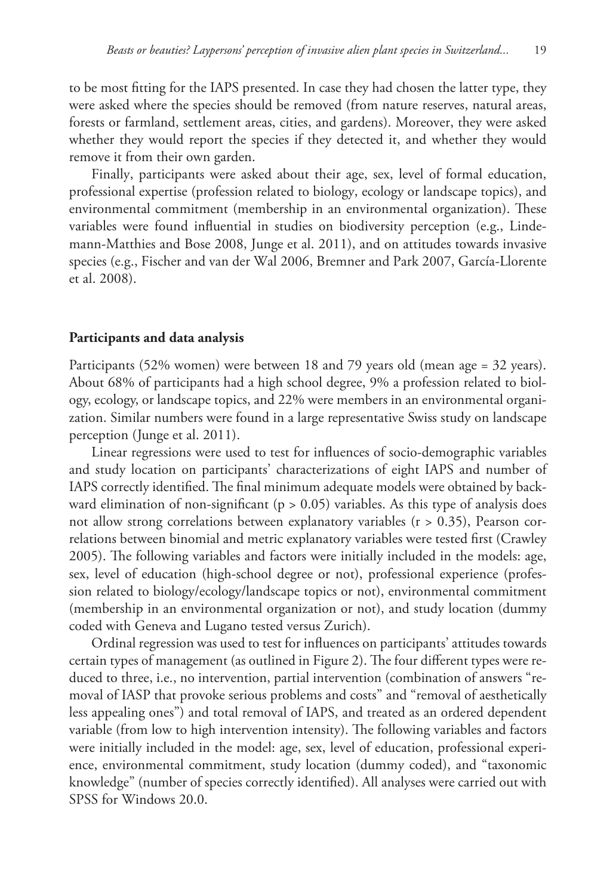to be most fitting for the IAPS presented. In case they had chosen the latter type, they were asked where the species should be removed (from nature reserves, natural areas, forests or farmland, settlement areas, cities, and gardens). Moreover, they were asked whether they would report the species if they detected it, and whether they would remove it from their own garden.

Finally, participants were asked about their age, sex, level of formal education, professional expertise (profession related to biology, ecology or landscape topics), and environmental commitment (membership in an environmental organization). These variables were found influential in studies on biodiversity perception (e.g., Lindemann-Matthies and Bose 2008, Junge et al. 2011), and on attitudes towards invasive species (e.g., Fischer and van der Wal 2006, Bremner and Park 2007, García-Llorente et al. 2008).

#### **Participants and data analysis**

Participants (52% women) were between 18 and 79 years old (mean age = 32 years). About 68% of participants had a high school degree, 9% a profession related to biology, ecology, or landscape topics, and 22% were members in an environmental organization. Similar numbers were found in a large representative Swiss study on landscape perception (Junge et al. 2011).

Linear regressions were used to test for influences of socio-demographic variables and study location on participants' characterizations of eight IAPS and number of IAPS correctly identified. The final minimum adequate models were obtained by backward elimination of non-significant ( $p > 0.05$ ) variables. As this type of analysis does not allow strong correlations between explanatory variables (r > 0.35), Pearson correlations between binomial and metric explanatory variables were tested first (Crawley 2005). The following variables and factors were initially included in the models: age, sex, level of education (high-school degree or not), professional experience (profession related to biology/ecology/landscape topics or not), environmental commitment (membership in an environmental organization or not), and study location (dummy coded with Geneva and Lugano tested versus Zurich).

Ordinal regression was used to test for influences on participants' attitudes towards certain types of management (as outlined in Figure 2). The four different types were reduced to three, i.e., no intervention, partial intervention (combination of answers "removal of IASP that provoke serious problems and costs" and "removal of aesthetically less appealing ones") and total removal of IAPS, and treated as an ordered dependent variable (from low to high intervention intensity). The following variables and factors were initially included in the model: age, sex, level of education, professional experience, environmental commitment, study location (dummy coded), and "taxonomic knowledge" (number of species correctly identified). All analyses were carried out with SPSS for Windows 20.0.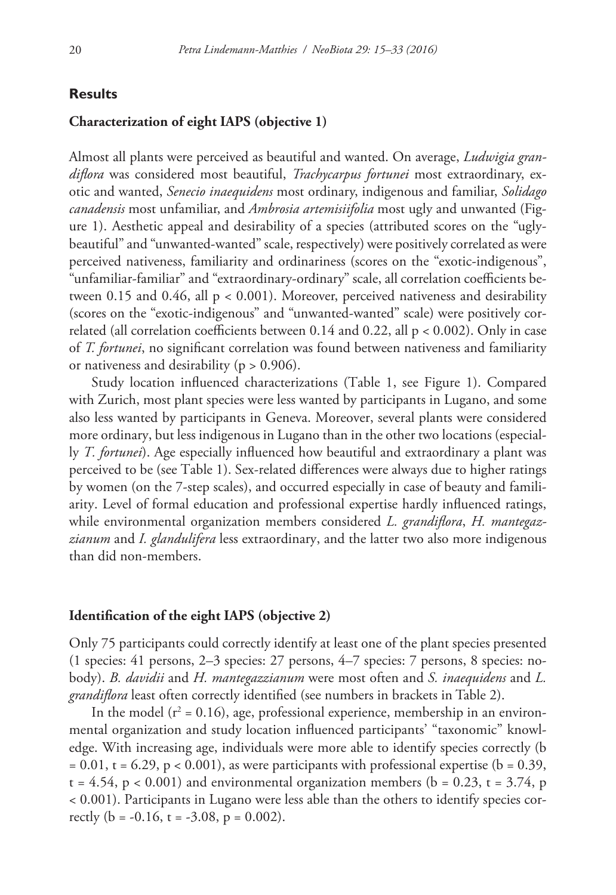## **Results**

## **Characterization of eight IAPS (objective 1)**

Almost all plants were perceived as beautiful and wanted. On average, *Ludwigia grandiflora* was considered most beautiful, *Trachycarpus fortunei* most extraordinary, exotic and wanted, *Senecio inaequidens* most ordinary, indigenous and familiar, *Solidago canadensis* most unfamiliar, and *Ambrosia artemisiifolia* most ugly and unwanted (Figure 1). Aesthetic appeal and desirability of a species (attributed scores on the "uglybeautiful" and "unwanted-wanted" scale, respectively) were positively correlated as were perceived nativeness, familiarity and ordinariness (scores on the "exotic-indigenous", "unfamiliar-familiar" and "extraordinary-ordinary" scale, all correlation coefficients between 0.15 and 0.46, all p < 0.001). Moreover, perceived nativeness and desirability (scores on the "exotic-indigenous" and "unwanted-wanted" scale) were positively correlated (all correlation coefficients between  $0.14$  and  $0.22$ , all  $p < 0.002$ ). Only in case of *T. fortunei*, no significant correlation was found between nativeness and familiarity or nativeness and desirability ( $p > 0.906$ ).

Study location influenced characterizations (Table 1, see Figure 1). Compared with Zurich, most plant species were less wanted by participants in Lugano, and some also less wanted by participants in Geneva. Moreover, several plants were considered more ordinary, but less indigenous in Lugano than in the other two locations (especially *T. fortunei*). Age especially influenced how beautiful and extraordinary a plant was perceived to be (see Table 1). Sex-related differences were always due to higher ratings by women (on the 7-step scales), and occurred especially in case of beauty and familiarity. Level of formal education and professional expertise hardly influenced ratings, while environmental organization members considered *L. grandiflora*, *H. mantegazzianum* and *I. glandulifera* less extraordinary, and the latter two also more indigenous than did non-members.

#### **Identification of the eight IAPS (objective 2)**

Only 75 participants could correctly identify at least one of the plant species presented (1 species: 41 persons, 2–3 species: 27 persons, 4–7 species: 7 persons, 8 species: nobody). *B. davidii* and *H. mantegazzianum* were most often and *S. inaequidens* and *L. grandiflora* least often correctly identified (see numbers in brackets in Table 2).

In the model ( $r^2$  = 0.16), age, professional experience, membership in an environmental organization and study location influenced participants' "taxonomic" knowledge. With increasing age, individuals were more able to identify species correctly (b  $= 0.01$ , t = 6.29, p < 0.001), as were participants with professional expertise (b = 0.39,  $t = 4.54$ ,  $p < 0.001$ ) and environmental organization members (b = 0.23, t = 3.74, p < 0.001). Participants in Lugano were less able than the others to identify species correctly ( $b = -0.16$ ,  $t = -3.08$ ,  $p = 0.002$ ).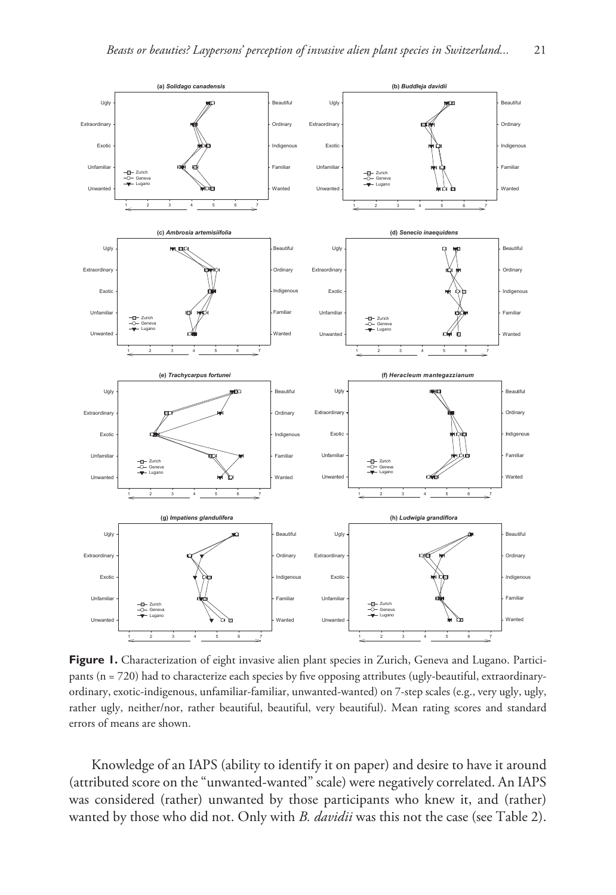

Figure 1. Characterization of eight invasive alien plant species in Zurich, Geneva and Lugano. Participants (n = 720) had to characterize each species by five opposing attributes (ugly-beautiful, extraordinaryordinary, exotic-indigenous, unfamiliar-familiar, unwanted-wanted) on 7-step scales (e.g., very ugly, ugly, rather ugly, neither/nor, rather beautiful, beautiful, very beautiful). Mean rating scores and standard errors of means are shown.

Knowledge of an IAPS (ability to identify it on paper) and desire to have it around (attributed score on the "unwanted-wanted" scale) were negatively correlated. An IAPS was considered (rather) unwanted by those participants who knew it, and (rather) wanted by those who did not. Only with *B. davidii* was this not the case (see Table 2).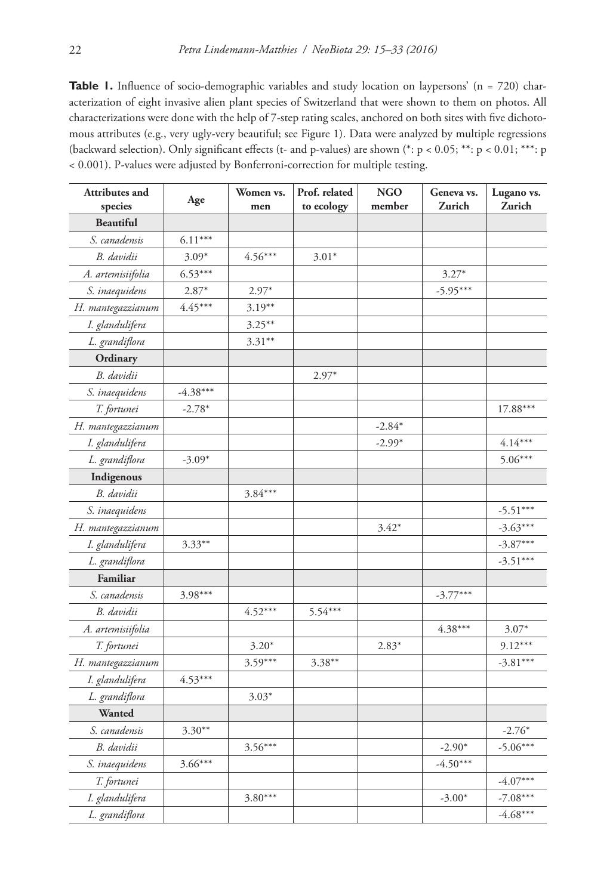**Table 1.** Influence of socio-demographic variables and study location on laypersons' (n = 720) characterization of eight invasive alien plant species of Switzerland that were shown to them on photos. All characterizations were done with the help of 7-step rating scales, anchored on both sites with five dichotomous attributes (e.g., very ugly-very beautiful; see Figure 1). Data were analyzed by multiple regressions (backward selection). Only significant effects (t- and p-values) are shown (\*: p < 0.05; \*\*: p < 0.01; \*\*\*: p < 0.001). P-values were adjusted by Bonferroni-correction for multiple testing.

| Attributes and<br>species | Age        | Women vs.<br>men | Prof. related<br>to ecology | <b>NGO</b><br>member | Geneva vs.<br>Zurich | Lugano vs.<br>Zurich |
|---------------------------|------------|------------------|-----------------------------|----------------------|----------------------|----------------------|
| <b>Beautiful</b>          |            |                  |                             |                      |                      |                      |
| S. canadensis             | $6.11***$  |                  |                             |                      |                      |                      |
| B. davidii                | $3.09*$    | $4.56***$        | $3.01*$                     |                      |                      |                      |
| A. artemisiifolia         | $6.53***$  |                  |                             |                      | $3.27*$              |                      |
| S. inaequidens            | $2.87*$    | $2.97*$          |                             |                      | $-5.95***$           |                      |
| H. mantegazzianum         | $4.45***$  | $3.19***$        |                             |                      |                      |                      |
| I. glandulifera           |            | $3.25***$        |                             |                      |                      |                      |
| L. grandiflora            |            | $3.31***$        |                             |                      |                      |                      |
| Ordinary                  |            |                  |                             |                      |                      |                      |
| B. davidii                |            |                  | $2.97*$                     |                      |                      |                      |
| S. inaequidens            | $-4.38***$ |                  |                             |                      |                      |                      |
| T. fortunei               | $-2.78*$   |                  |                             |                      |                      | 17.88***             |
| H. mantegazzianum         |            |                  |                             | $-2.84*$             |                      |                      |
| I. glandulifera           |            |                  |                             | $-2.99*$             |                      | $4.14***$            |
| L. grandiflora            | $-3.09*$   |                  |                             |                      |                      | $5.06***$            |
| Indigenous                |            |                  |                             |                      |                      |                      |
| B. davidii                |            | $3.84***$        |                             |                      |                      |                      |
| S. inaequidens            |            |                  |                             |                      |                      | $-5.51***$           |
| H. mantegazzianum         |            |                  |                             | $3.42*$              |                      | $-3.63***$           |
| I. glandulifera           | $3.33***$  |                  |                             |                      |                      | $-3.87***$           |
| L. grandiflora            |            |                  |                             |                      |                      | $-3.51***$           |
| Familiar                  |            |                  |                             |                      |                      |                      |
| S. canadensis             | $3.98***$  |                  |                             |                      | $-3.77***$           |                      |
| B. davidii                |            | $4.52***$        | 5.54***                     |                      |                      |                      |
| A. artemisiifolia         |            |                  |                             |                      | $4.38***$            | $3.07*$              |
| T. fortunei               |            | $3.20*$          |                             | $2.83*$              |                      | $9.12***$            |
| H. mantegazzianum         |            | $3.59***$        | $3.38**$                    |                      |                      | $-3.81***$           |
| I. glandulifera           | $4.53***$  |                  |                             |                      |                      |                      |
| L. grandiflora            |            | $3.03*$          |                             |                      |                      |                      |
| Wanted                    |            |                  |                             |                      |                      |                      |
| S. canadensis             | $3.30**$   |                  |                             |                      |                      | $-2.76*$             |
| B. davidii                |            | $3.56***$        |                             |                      | $-2.90*$             | $-5.06***$           |
| S. inaequidens            | $3.66***$  |                  |                             |                      | $-4.50***$           |                      |
| T. fortunei               |            |                  |                             |                      |                      | $-4.07***$           |
| I. glandulifera           |            | $3.80***$        |                             |                      | $-3.00*$             | $-7.08***$           |
| L. grandiflora            |            |                  |                             |                      |                      | $-4.68***$           |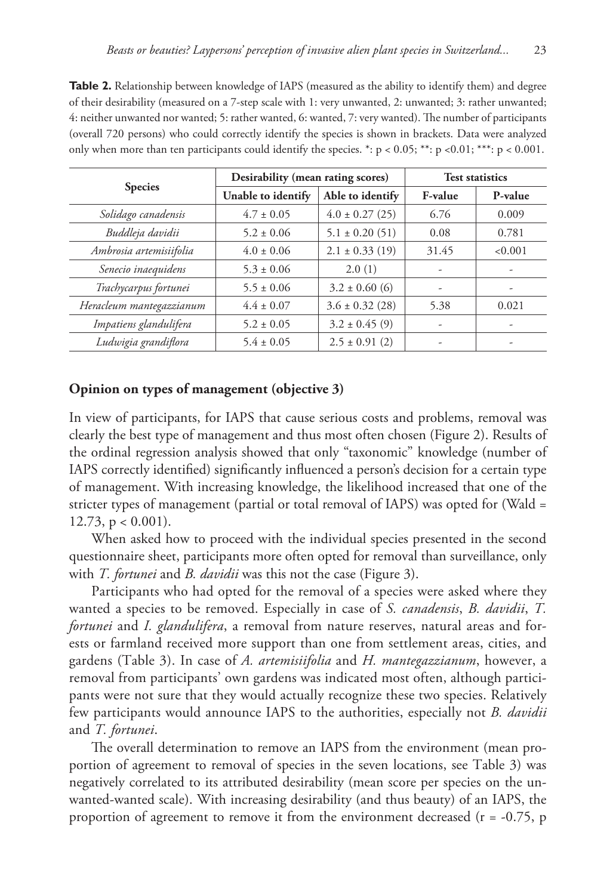**Table 2.** Relationship between knowledge of IAPS (measured as the ability to identify them) and degree of their desirability (measured on a 7-step scale with 1: very unwanted, 2: unwanted; 3: rather unwanted; 4: neither unwanted nor wanted; 5: rather wanted, 6: wanted, 7: very wanted). The number of participants (overall 720 persons) who could correctly identify the species is shown in brackets. Data were analyzed only when more than ten participants could identify the species. \*:  $p < 0.05$ ; \*\*:  $p < 0.01$ ; \*\*\*:  $p < 0.001$ .

|                          | Desirability (mean rating scores) |                     |                          | <b>Test statistics</b>   |
|--------------------------|-----------------------------------|---------------------|--------------------------|--------------------------|
| <b>Species</b>           | Unable to identify                | Able to identify    | F-value                  | P-value                  |
| Solidago canadensis      | $4.7 \pm 0.05$                    | $4.0 \pm 0.27$ (25) | 6.76                     | 0.009                    |
| Buddleja davidii         | $5.2 \pm 0.06$                    | $5.1 \pm 0.20$ (51) | 0.08                     | 0.781                    |
| Ambrosia artemisiifolia  | $4.0 \pm 0.06$                    | $2.1 \pm 0.33$ (19) | 31.45                    | < 0.001                  |
| Senecio inaequidens      | $5.3 \pm 0.06$                    | 2.0(1)              | ۰                        | $\overline{\phantom{a}}$ |
| Trachycarpus fortunei    | $5.5 \pm 0.06$                    | $3.2 \pm 0.60$ (6)  | $\overline{\phantom{a}}$ | ۰                        |
| Heracleum mantegazzianum | $4.4 \pm 0.07$                    | $3.6 \pm 0.32$ (28) | 5.38                     | 0.021                    |
| Impatiens glandulifera   | $5.2 \pm 0.05$                    | $3.2 \pm 0.45$ (9)  | ٠                        | ۰                        |
| Ludwigia grandiflora     | $5.4 \pm 0.05$                    | $2.5 \pm 0.91$ (2)  | $\overline{\phantom{a}}$ | ۰                        |

# **Opinion on types of management (objective 3)**

In view of participants, for IAPS that cause serious costs and problems, removal was clearly the best type of management and thus most often chosen (Figure 2). Results of the ordinal regression analysis showed that only "taxonomic" knowledge (number of IAPS correctly identified) significantly influenced a person's decision for a certain type of management. With increasing knowledge, the likelihood increased that one of the stricter types of management (partial or total removal of IAPS) was opted for (Wald = 12.73,  $p < 0.001$ ).

When asked how to proceed with the individual species presented in the second questionnaire sheet, participants more often opted for removal than surveillance, only with *T. fortunei* and *B. davidii* was this not the case (Figure 3).

Participants who had opted for the removal of a species were asked where they wanted a species to be removed. Especially in case of *S. canadensis*, *B. davidii*, *T. fortunei* and *I. glandulifera*, a removal from nature reserves, natural areas and forests or farmland received more support than one from settlement areas, cities, and gardens (Table 3). In case of *A. artemisiifolia* and *H. mantegazzianum*, however, a removal from participants' own gardens was indicated most often, although participants were not sure that they would actually recognize these two species. Relatively few participants would announce IAPS to the authorities, especially not *B. davidii* and *T. fortunei*.

The overall determination to remove an IAPS from the environment (mean proportion of agreement to removal of species in the seven locations, see Table 3) was negatively correlated to its attributed desirability (mean score per species on the unwanted-wanted scale). With increasing desirability (and thus beauty) of an IAPS, the proportion of agreement to remove it from the environment decreased (r = -0.75, p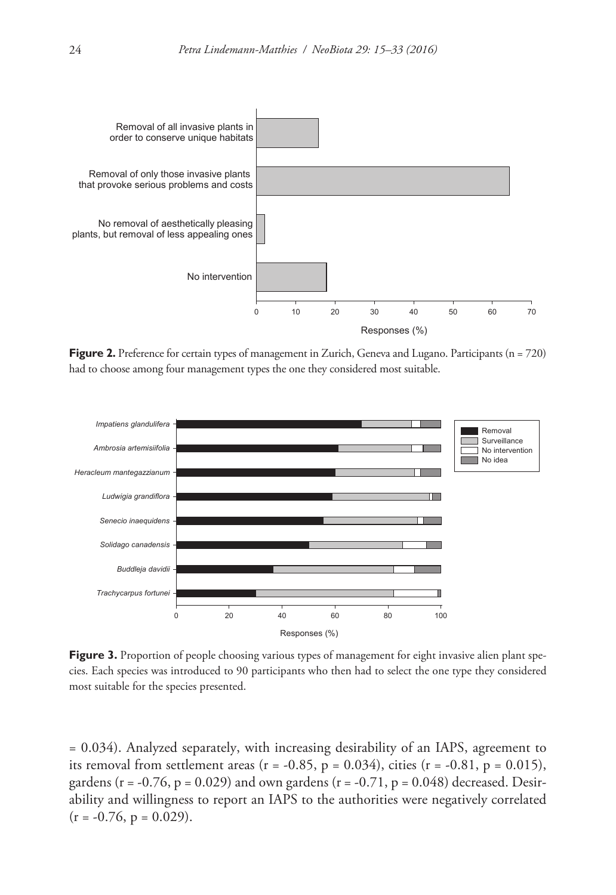

**Figure 2.** Preference for certain types of management in Zurich, Geneva and Lugano. Participants (n = 720) had to choose among four management types the one they considered most suitable.



**Figure 3.** Proportion of people choosing various types of management for eight invasive alien plant species. Each species was introduced to 90 participants who then had to select the one type they considered most suitable for the species presented.

= 0.034). Analyzed separately, with increasing desirability of an IAPS, agreement to its removal from settlement areas ( $r = -0.85$ ,  $p = 0.034$ ), cities ( $r = -0.81$ ,  $p = 0.015$ ), gardens ( $r = -0.76$ ,  $p = 0.029$ ) and own gardens ( $r = -0.71$ ,  $p = 0.048$ ) decreased. Desirability and willingness to report an IAPS to the authorities were negatively correlated  $(r = -0.76, p = 0.029).$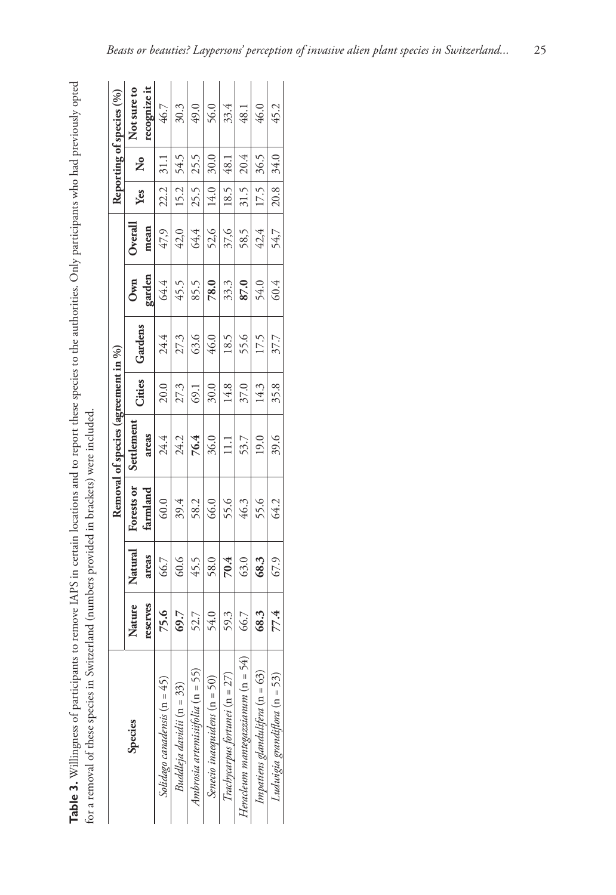Table 3. Willingness of participants to remove IAPS in certain locations and to report these species to the authorities. Only participants who had previously opted **Table 3.** Willingness of participants to remove IAPS in certain locations and to report these species to the authorities. Only participants who had previously opted for a removal of these species in Switzerland (numbers provided in brackets) were included. for a removal of these species in Switzerland (numbers provided in brackets) were included.

|                                     |          |         |            | Removal of species (agreement in %) |        |         |            |            |      |      | Reporting of species (%) |
|-------------------------------------|----------|---------|------------|-------------------------------------|--------|---------|------------|------------|------|------|--------------------------|
| Species                             | Nature   | Natural | Forests or | Settlement                          | Cities | Gardens | <b>Own</b> | $O$ verall | Yes  | ż    | Not sure to              |
|                                     | reserves | areas   | farmland   | areas                               |        |         | garden     | mean       |      |      | recognize it             |
| Solidago canadensis (n = 45)        | 75.6     | 66.7    | 60.0       | 24.4                                | 20.0   | 24.4    | 64.4       | 47,9       | 22.2 |      | 46.7                     |
| Buddleja davidii (n = 33)           | 69.7     | 60.6    | 39.4       | 24.2                                | 27.3   | 27.3    | 45.5       | 42,0       | 15.2 | 54.5 | 30.3                     |
| Ambrosia artemistifolia $(n = 55)$  | 52.7     | 45.5    | 58.2       | 76.4                                | 69.1   | 63.6    | 85.5       | 64,4       | 25.5 | 25.5 | 49.0                     |
| Senecio inaequidens (n = 50)        | 54.0     | 58.0    | 66.0       | 36.0                                | 30.0   | 46.0    | 78.0       | 52,6       | 14.0 | 30.0 | 56.0                     |
| Trachycarpus fortunei (n = 27)      | 59.3     | 70.4    | 55.6       | $\Xi$                               | 14.8   | 18.5    | 33.3       | 37,6       | 18.5 | 48.1 | 33.4                     |
| Heracleum mantegazzianum $(n = 54)$ | 66.7     | 63.0    | 46.3       | 53.7                                | 37.0   | 55.6    | 87.0       | 58,5       | 31.5 | 20.4 | 48.1                     |
| Impatiens glandulifera $(n = 63)$   | 68.3     | 68.3    | 55.6       | 19.0                                | 14.3   | 17.5    | 54.0       | 42,4       | 17.5 | 36.5 | 46.0                     |
| Ludwigia grandiflora (n = 53)       | 77.4     | 67.9    | 64.2       | 39.6                                | 35.8   | 37.7    | 60.4       | 54,7       | 20.8 | 34.0 | 45.2                     |
|                                     |          |         |            |                                     |        |         |            |            |      |      |                          |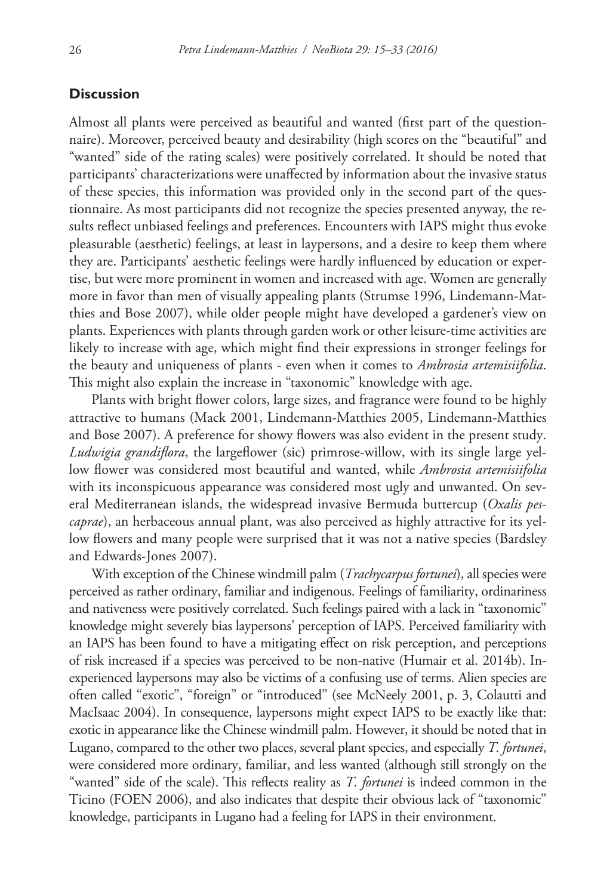## **Discussion**

Almost all plants were perceived as beautiful and wanted (first part of the questionnaire). Moreover, perceived beauty and desirability (high scores on the "beautiful" and "wanted" side of the rating scales) were positively correlated. It should be noted that participants' characterizations were unaffected by information about the invasive status of these species, this information was provided only in the second part of the questionnaire. As most participants did not recognize the species presented anyway, the results reflect unbiased feelings and preferences. Encounters with IAPS might thus evoke pleasurable (aesthetic) feelings, at least in laypersons, and a desire to keep them where they are. Participants' aesthetic feelings were hardly influenced by education or expertise, but were more prominent in women and increased with age. Women are generally more in favor than men of visually appealing plants (Strumse 1996, Lindemann-Matthies and Bose 2007), while older people might have developed a gardener's view on plants. Experiences with plants through garden work or other leisure-time activities are likely to increase with age, which might find their expressions in stronger feelings for the beauty and uniqueness of plants - even when it comes to *Ambrosia artemisiifolia*. This might also explain the increase in "taxonomic" knowledge with age.

Plants with bright flower colors, large sizes, and fragrance were found to be highly attractive to humans (Mack 2001, Lindemann-Matthies 2005, Lindemann-Matthies and Bose 2007). A preference for showy flowers was also evident in the present study. *Ludwigia grandiflora*, the largeflower (sic) primrose-willow, with its single large yellow flower was considered most beautiful and wanted, while *Ambrosia artemisiifolia* with its inconspicuous appearance was considered most ugly and unwanted. On several Mediterranean islands, the widespread invasive Bermuda buttercup (*Oxalis pescaprae*), an herbaceous annual plant, was also perceived as highly attractive for its yellow flowers and many people were surprised that it was not a native species (Bardsley and Edwards-Jones 2007).

With exception of the Chinese windmill palm (*Trachycarpus fortunei*), all species were perceived as rather ordinary, familiar and indigenous. Feelings of familiarity, ordinariness and nativeness were positively correlated. Such feelings paired with a lack in "taxonomic" knowledge might severely bias laypersons' perception of IAPS. Perceived familiarity with an IAPS has been found to have a mitigating effect on risk perception, and perceptions of risk increased if a species was perceived to be non-native (Humair et al. 2014b). Inexperienced laypersons may also be victims of a confusing use of terms. Alien species are often called "exotic", "foreign" or "introduced" (see McNeely 2001, p. 3, Colautti and MacIsaac 2004). In consequence, laypersons might expect IAPS to be exactly like that: exotic in appearance like the Chinese windmill palm. However, it should be noted that in Lugano, compared to the other two places, several plant species, and especially *T. fortunei*, were considered more ordinary, familiar, and less wanted (although still strongly on the "wanted" side of the scale). This reflects reality as *T. fortunei* is indeed common in the Ticino (FOEN 2006), and also indicates that despite their obvious lack of "taxonomic" knowledge, participants in Lugano had a feeling for IAPS in their environment.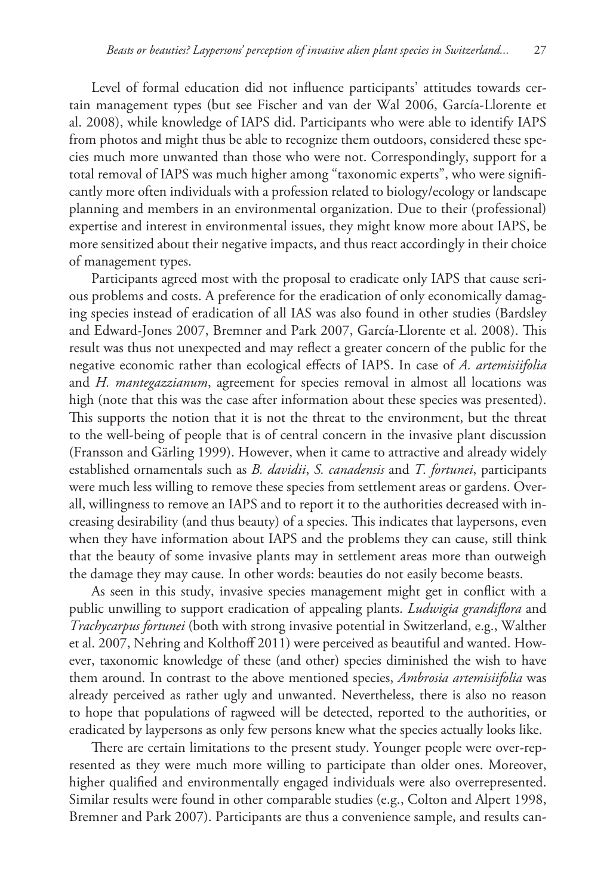Level of formal education did not influence participants' attitudes towards certain management types (but see Fischer and van der Wal 2006, García-Llorente et al. 2008), while knowledge of IAPS did. Participants who were able to identify IAPS from photos and might thus be able to recognize them outdoors, considered these species much more unwanted than those who were not. Correspondingly, support for a total removal of IAPS was much higher among "taxonomic experts", who were significantly more often individuals with a profession related to biology/ecology or landscape planning and members in an environmental organization. Due to their (professional) expertise and interest in environmental issues, they might know more about IAPS, be more sensitized about their negative impacts, and thus react accordingly in their choice of management types.

Participants agreed most with the proposal to eradicate only IAPS that cause serious problems and costs. A preference for the eradication of only economically damaging species instead of eradication of all IAS was also found in other studies (Bardsley and Edward-Jones 2007, Bremner and Park 2007, García-Llorente et al. 2008). This result was thus not unexpected and may reflect a greater concern of the public for the negative economic rather than ecological effects of IAPS. In case of *A. artemisiifolia* and *H. mantegazzianum*, agreement for species removal in almost all locations was high (note that this was the case after information about these species was presented). This supports the notion that it is not the threat to the environment, but the threat to the well-being of people that is of central concern in the invasive plant discussion (Fransson and Gärling 1999). However, when it came to attractive and already widely established ornamentals such as *B. davidii*, *S. canadensis* and *T. fortunei*, participants were much less willing to remove these species from settlement areas or gardens. Overall, willingness to remove an IAPS and to report it to the authorities decreased with increasing desirability (and thus beauty) of a species. This indicates that laypersons, even when they have information about IAPS and the problems they can cause, still think that the beauty of some invasive plants may in settlement areas more than outweigh the damage they may cause. In other words: beauties do not easily become beasts.

As seen in this study, invasive species management might get in conflict with a public unwilling to support eradication of appealing plants. *Ludwigia grandiflora* and *Trachycarpus fortunei* (both with strong invasive potential in Switzerland, e.g., Walther et al. 2007, Nehring and Kolthoff 2011) were perceived as beautiful and wanted. However, taxonomic knowledge of these (and other) species diminished the wish to have them around. In contrast to the above mentioned species, *Ambrosia artemisiifolia* was already perceived as rather ugly and unwanted. Nevertheless, there is also no reason to hope that populations of ragweed will be detected, reported to the authorities, or eradicated by laypersons as only few persons knew what the species actually looks like.

There are certain limitations to the present study. Younger people were over-represented as they were much more willing to participate than older ones. Moreover, higher qualified and environmentally engaged individuals were also overrepresented. Similar results were found in other comparable studies (e.g., Colton and Alpert 1998, Bremner and Park 2007). Participants are thus a convenience sample, and results can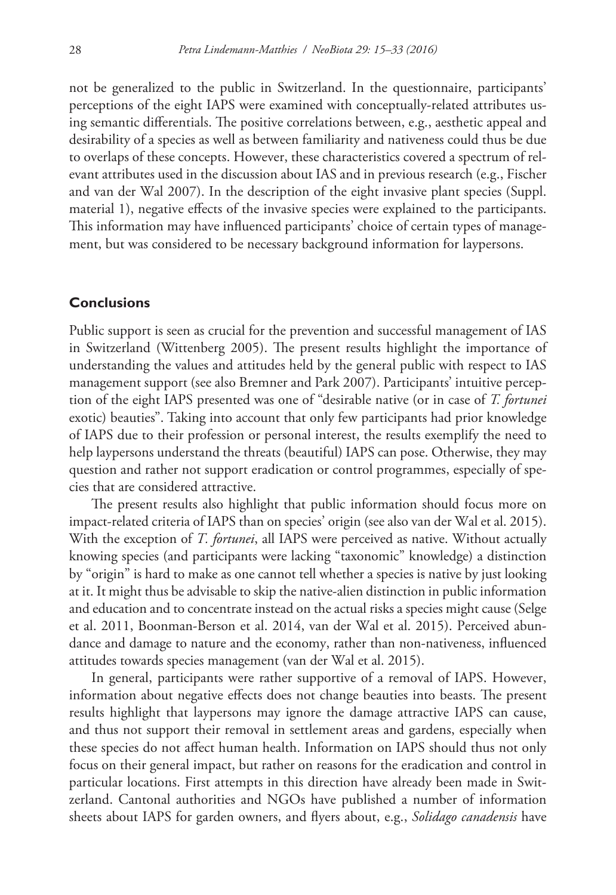not be generalized to the public in Switzerland. In the questionnaire, participants' perceptions of the eight IAPS were examined with conceptually-related attributes using semantic differentials. The positive correlations between, e.g., aesthetic appeal and desirability of a species as well as between familiarity and nativeness could thus be due to overlaps of these concepts. However, these characteristics covered a spectrum of relevant attributes used in the discussion about IAS and in previous research (e.g., Fischer and van der Wal 2007). In the description of the eight invasive plant species (Suppl. material 1), negative effects of the invasive species were explained to the participants. This information may have influenced participants' choice of certain types of management, but was considered to be necessary background information for laypersons.

# **Conclusions**

Public support is seen as crucial for the prevention and successful management of IAS in Switzerland (Wittenberg 2005). The present results highlight the importance of understanding the values and attitudes held by the general public with respect to IAS management support (see also Bremner and Park 2007). Participants' intuitive perception of the eight IAPS presented was one of "desirable native (or in case of *T. fortunei* exotic) beauties". Taking into account that only few participants had prior knowledge of IAPS due to their profession or personal interest, the results exemplify the need to help laypersons understand the threats (beautiful) IAPS can pose. Otherwise, they may question and rather not support eradication or control programmes, especially of species that are considered attractive.

The present results also highlight that public information should focus more on impact-related criteria of IAPS than on species' origin (see also van der Wal et al. 2015). With the exception of *T. fortunei*, all IAPS were perceived as native. Without actually knowing species (and participants were lacking "taxonomic" knowledge) a distinction by "origin" is hard to make as one cannot tell whether a species is native by just looking at it. It might thus be advisable to skip the native-alien distinction in public information and education and to concentrate instead on the actual risks a species might cause (Selge et al. 2011, Boonman-Berson et al. 2014, van der Wal et al. 2015). Perceived abundance and damage to nature and the economy, rather than non-nativeness, influenced attitudes towards species management (van der Wal et al. 2015).

In general, participants were rather supportive of a removal of IAPS. However, information about negative effects does not change beauties into beasts. The present results highlight that laypersons may ignore the damage attractive IAPS can cause, and thus not support their removal in settlement areas and gardens, especially when these species do not affect human health. Information on IAPS should thus not only focus on their general impact, but rather on reasons for the eradication and control in particular locations. First attempts in this direction have already been made in Switzerland. Cantonal authorities and NGOs have published a number of information sheets about IAPS for garden owners, and flyers about, e.g., *Solidago canadensis* have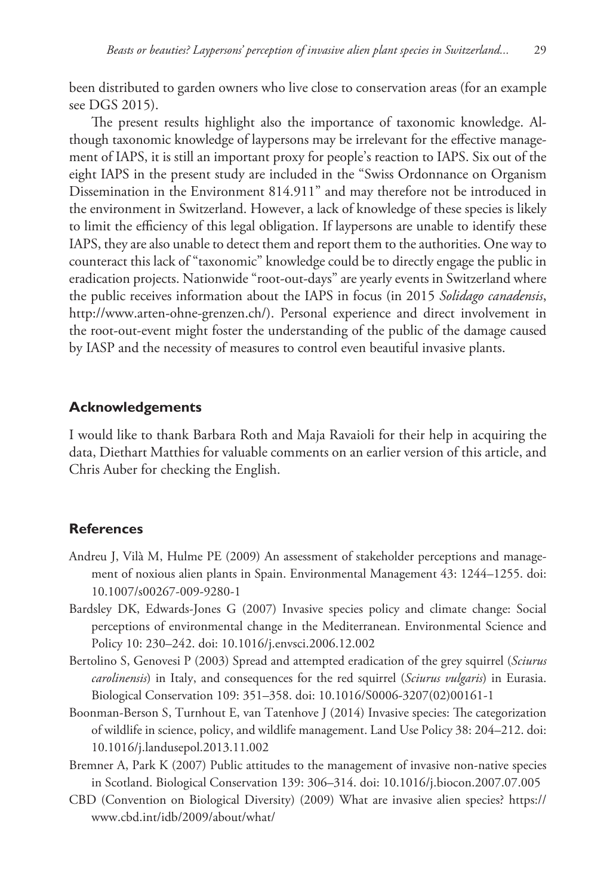been distributed to garden owners who live close to conservation areas (for an example see DGS 2015).

The present results highlight also the importance of taxonomic knowledge. Although taxonomic knowledge of laypersons may be irrelevant for the effective management of IAPS, it is still an important proxy for people's reaction to IAPS. Six out of the eight IAPS in the present study are included in the "Swiss Ordonnance on Organism Dissemination in the Environment 814.911" and may therefore not be introduced in the environment in Switzerland. However, a lack of knowledge of these species is likely to limit the efficiency of this legal obligation. If laypersons are unable to identify these IAPS, they are also unable to detect them and report them to the authorities. One way to counteract this lack of "taxonomic" knowledge could be to directly engage the public in eradication projects. Nationwide "root-out-days" are yearly events in Switzerland where the public receives information about the IAPS in focus (in 2015 *Solidago canadensis*, <http://www.arten-ohne-grenzen.ch/>). Personal experience and direct involvement in the root-out-event might foster the understanding of the public of the damage caused by IASP and the necessity of measures to control even beautiful invasive plants.

## **Acknowledgements**

I would like to thank Barbara Roth and Maja Ravaioli for their help in acquiring the data, Diethart Matthies for valuable comments on an earlier version of this article, and Chris Auber for checking the English.

## **References**

- Andreu J, Vilà M, Hulme PE (2009) An assessment of stakeholder perceptions and management of noxious alien plants in Spain. Environmental Management 43: 1244–1255. [doi:](http://dx.doi.org/10.1007/s00267-009-9280-1) [10.1007/s00267-009-9280-1](http://dx.doi.org/10.1007/s00267-009-9280-1)
- Bardsley DK, Edwards-Jones G (2007) Invasive species policy and climate change: Social perceptions of environmental change in the Mediterranean. Environmental Science and Policy 10: 230–242. [doi: 10.1016/j.envsci.2006.12.002](http://dx.doi.org/10.1016/j.envsci.2006.12.002)
- Bertolino S, Genovesi P (2003) Spread and attempted eradication of the grey squirrel (*Sciurus carolinensis*) in Italy, and consequences for the red squirrel (*Sciurus vulgaris*) in Eurasia. Biological Conservation 109: 351–358. [doi: 10.1016/S0006-3207\(02\)00161-1](http://dx.doi.org/10.1016/S0006-3207(02)00161-1)
- Boonman-Berson S, Turnhout E, van Tatenhove J (2014) Invasive species: The categorization of wildlife in science, policy, and wildlife management. Land Use Policy 38: 204–212. [doi:](http://dx.doi.org/10.1016/j.landusepol.2013.11.002) [10.1016/j.landusepol.2013.11.002](http://dx.doi.org/10.1016/j.landusepol.2013.11.002)
- Bremner A, Park K (2007) Public attitudes to the management of invasive non-native species in Scotland. Biological Conservation 139: 306–314. [doi: 10.1016/j.biocon.2007.07.005](http://dx.doi.org/10.1016/j.biocon.2007.07.005)
- CBD (Convention on Biological Diversity) (2009) What are invasive alien species? [https://](https://www.cbd.int/idb/2009/about/what/) [www.cbd.int/idb/2009/about/what/](https://www.cbd.int/idb/2009/about/what/)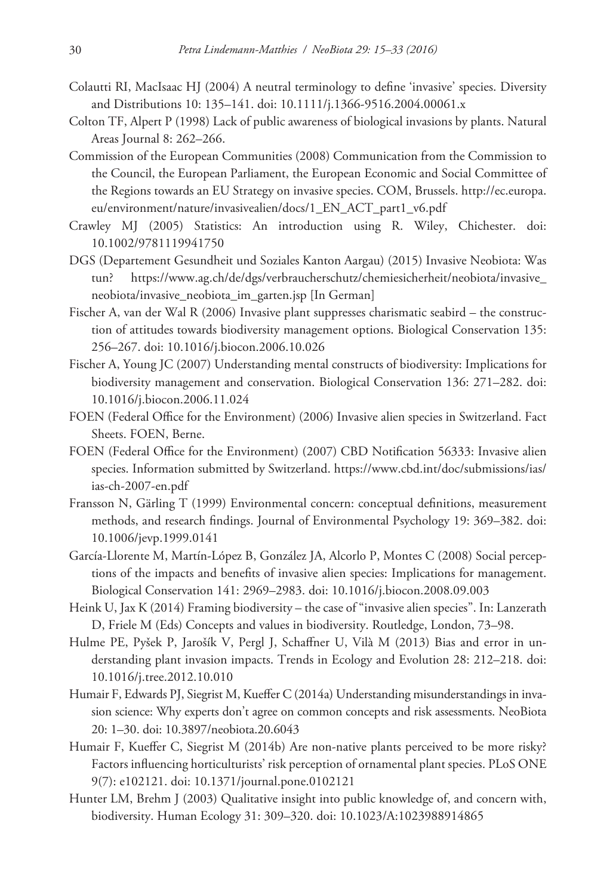- Colautti RI, MacIsaac HJ (2004) A neutral terminology to define 'invasive' species. Diversity and Distributions 10: 135–141. [doi: 10.1111/j.1366-9516.2004.00061.x](http://dx.doi.org/10.1111/j.1366-9516.2004.00061.x)
- Colton TF, Alpert P (1998) Lack of public awareness of biological invasions by plants. Natural Areas Journal 8: 262–266.
- Commission of the European Communities (2008) Communication from the Commission to the Council, the European Parliament, the European Economic and Social Committee of the Regions towards an EU Strategy on invasive species. COM, Brussels. [http://ec.europa.](http://ec.europa.eu/environment/nature/invasivealien/docs/1_EN_ACT_part1_v6.pdf) [eu/environment/nature/invasivealien/docs/1\\_EN\\_ACT\\_part1\\_v6.pdf](http://ec.europa.eu/environment/nature/invasivealien/docs/1_EN_ACT_part1_v6.pdf)
- Crawley MJ (2005) Statistics: An introduction using R. Wiley, Chichester. [doi:](http://dx.doi.org/10.1002/9781119941750) [10.1002/9781119941750](http://dx.doi.org/10.1002/9781119941750)
- DGS (Departement Gesundheit und Soziales Kanton Aargau) (2015) Invasive Neobiota: Was tun? [https://www.ag.ch/de/dgs/verbraucherschutz/chemiesicherheit/neobiota/invasive\\_](https://www.ag.ch/de/dgs/verbraucherschutz/chemiesicherheit/neobiota/invasive_neobiota/invasive_neobiota_im_garten.jsp) [neobiota/invasive\\_neobiota\\_im\\_garten.jsp](https://www.ag.ch/de/dgs/verbraucherschutz/chemiesicherheit/neobiota/invasive_neobiota/invasive_neobiota_im_garten.jsp) [In German]
- Fischer A, van der Wal R (2006) Invasive plant suppresses charismatic seabird the construction of attitudes towards biodiversity management options. Biological Conservation 135: 256–267. [doi: 10.1016/j.biocon.2006.10.026](http://dx.doi.org/10.1016/j.biocon.2006.10.026)
- Fischer A, Young JC (2007) Understanding mental constructs of biodiversity: Implications for biodiversity management and conservation. Biological Conservation 136: 271–282. [doi:](http://dx.doi.org/10.1016/j.biocon.2006.11.024) [10.1016/j.biocon.2006.11.024](http://dx.doi.org/10.1016/j.biocon.2006.11.024)
- FOEN (Federal Office for the Environment) (2006) Invasive alien species in Switzerland. Fact Sheets. FOEN, Berne.
- FOEN (Federal Office for the Environment) (2007) CBD Notification 56333: Invasive alien species. Information submitted by Switzerland. [https://www.cbd.int/doc/submissions/ias/](https://www.cbd.int/doc/submissions/ias/ias-ch-2007-en.pdf) [ias-ch-2007-en.pdf](https://www.cbd.int/doc/submissions/ias/ias-ch-2007-en.pdf)
- Fransson N, Gärling T (1999) Environmental concern: conceptual definitions, measurement methods, and research findings. Journal of Environmental Psychology 19: 369–382. [doi:](http://dx.doi.org/10.1006/jevp.1999.0141) [10.1006/jevp.1999.0141](http://dx.doi.org/10.1006/jevp.1999.0141)
- García-Llorente M, Martín-López B, González JA, Alcorlo P, Montes C (2008) Social perceptions of the impacts and benefits of invasive alien species: Implications for management. Biological Conservation 141: 2969–2983. [doi: 10.1016/j.biocon.2008.09.003](http://dx.doi.org/10.1016/j.biocon.2008.09.003)
- Heink U, Jax K (2014) Framing biodiversity the case of "invasive alien species". In: Lanzerath D, Friele M (Eds) Concepts and values in biodiversity. Routledge, London, 73–98.
- Hulme PE, Pyšek P, Jarošík V, Pergl J, Schaffner U, Vilà M (2013) Bias and error in understanding plant invasion impacts. Trends in Ecology and Evolution 28: 212–218. [doi:](http://dx.doi.org/10.1016/j.tree.2012.10.010) [10.1016/j.tree.2012.10.010](http://dx.doi.org/10.1016/j.tree.2012.10.010)
- Humair F, Edwards PJ, Siegrist M, Kueffer C (2014a) Understanding misunderstandings in invasion science: Why experts don't agree on common concepts and risk assessments. NeoBiota 20: 1–30. [doi: 10.3897/neobiota.20.6043](http://dx.doi.org/10.3897/neobiota.20.6043)
- Humair F, Kueffer C, Siegrist M (2014b) Are non-native plants perceived to be more risky? Factors influencing horticulturists' risk perception of ornamental plant species. PLoS ONE 9(7): e102121. [doi: 10.1371/journal.pone.0102121](http://dx.doi.org/10.1371/journal.pone.0102121)
- Hunter LM, Brehm J (2003) Qualitative insight into public knowledge of, and concern with, biodiversity. Human Ecology 31: 309–320. [doi: 10.1023/A:1023988914865](http://dx.doi.org/10.1023/A:1023988914865)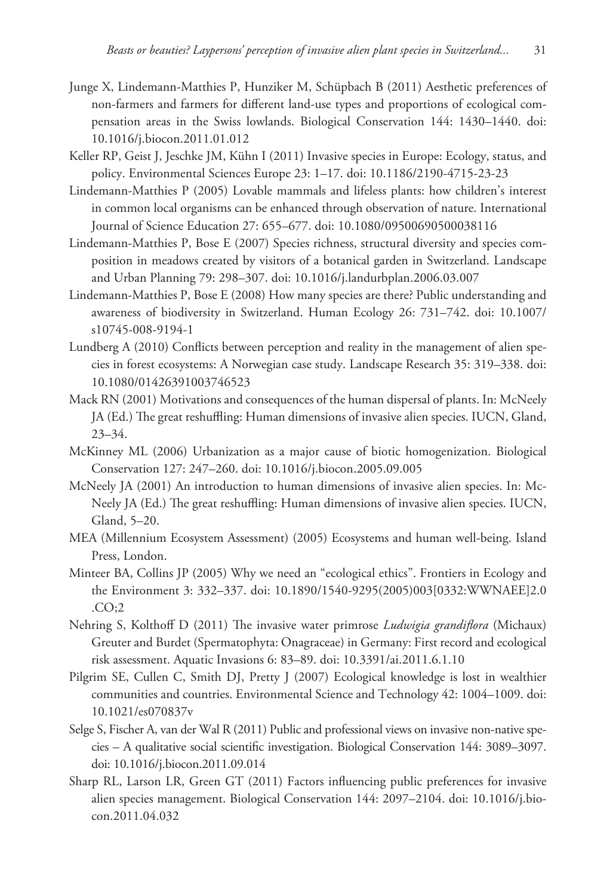- Junge X, Lindemann-Matthies P, Hunziker M, Schüpbach B (2011) Aesthetic preferences of non-farmers and farmers for different land-use types and proportions of ecological compensation areas in the Swiss lowlands. Biological Conservation 144: 1430–1440. [doi:](http://dx.doi.org/10.1016/j.biocon.2011.01.012) [10.1016/j.biocon.2011.01.012](http://dx.doi.org/10.1016/j.biocon.2011.01.012)
- Keller RP, Geist J, Jeschke JM, Kühn I (2011) Invasive species in Europe: Ecology, status, and policy. Environmental Sciences Europe 23: 1–17. [doi: 10.1186/2190-4715-23-23](http://dx.doi.org/10.1186/2190-4715-23-23)
- Lindemann-Matthies P (2005) Lovable mammals and lifeless plants: how children's interest in common local organisms can be enhanced through observation of nature. International Journal of Science Education 27: 655–677. [doi: 10.1080/09500690500038116](http://dx.doi.org/10.1080/09500690500038116)
- Lindemann-Matthies P, Bose E (2007) Species richness, structural diversity and species composition in meadows created by visitors of a botanical garden in Switzerland. Landscape and Urban Planning 79: 298–307. [doi: 10.1016/j.landurbplan.2006.03.007](http://dx.doi.org/10.1016/j.landurbplan.2006.03.007)
- Lindemann-Matthies P, Bose E (2008) How many species are there? Public understanding and awareness of biodiversity in Switzerland. Human Ecology 26: 731–742. [doi: 10.1007/](http://dx.doi.org/10.1007/s10745-008-9194-1) [s10745-008-9194-1](http://dx.doi.org/10.1007/s10745-008-9194-1)
- Lundberg A (2010) Conflicts between perception and reality in the management of alien species in forest ecosystems: A Norwegian case study. Landscape Research 35: 319–338. [doi:](http://dx.doi.org/10.1080/01426391003746523) [10.1080/01426391003746523](http://dx.doi.org/10.1080/01426391003746523)
- Mack RN (2001) Motivations and consequences of the human dispersal of plants. In: McNeely JA (Ed.) The great reshuffling: Human dimensions of invasive alien species. IUCN, Gland, 23–34.
- McKinney ML (2006) Urbanization as a major cause of biotic homogenization. Biological Conservation 127: 247–260. [doi: 10.1016/j.biocon.2005.09.005](http://dx.doi.org/10.1016/j.biocon.2005.09.005)
- McNeely JA (2001) An introduction to human dimensions of invasive alien species. In: Mc-Neely JA (Ed.) The great reshuffling: Human dimensions of invasive alien species. IUCN, Gland, 5–20.
- MEA (Millennium Ecosystem Assessment) (2005) Ecosystems and human well-being. Island Press, London.
- Minteer BA, Collins JP (2005) Why we need an "ecological ethics". Frontiers in Ecology and the Environment 3: 332–337. [doi: 10.1890/1540-9295\(2005\)003\[0332:WWNAEE\]2.0](http://dx.doi.org/10.1890/1540-9295(2005)003%5B0332:WWNAEE%5D2.0.CO;2) [.CO;2](http://dx.doi.org/10.1890/1540-9295(2005)003%5B0332:WWNAEE%5D2.0.CO;2)
- Nehring S, Kolthoff D (2011) The invasive water primrose *Ludwigia grandiflora* (Michaux) Greuter and Burdet (Spermatophyta: Onagraceae) in Germany: First record and ecological risk assessment. Aquatic Invasions 6: 83–89. [doi: 10.3391/ai.2011.6.1.10](http://dx.doi.org/10.3391/ai.2011.6.1.10)
- Pilgrim SE, Cullen C, Smith DJ, Pretty J (2007) Ecological knowledge is lost in wealthier communities and countries. Environmental Science and Technology 42: 1004–1009. [doi:](http://dx.doi.org/10.1021/es070837v) [10.1021/es070837v](http://dx.doi.org/10.1021/es070837v)
- Selge S, Fischer A, van der Wal R (2011) Public and professional views on invasive non-native species – A qualitative social scientific investigation. Biological Conservation 144: 3089–3097. [doi: 10.1016/j.biocon.2011.09.014](http://dx.doi.org/10.1016/j.biocon.2011.09.014)
- Sharp RL, Larson LR, Green GT (2011) Factors influencing public preferences for invasive alien species management. Biological Conservation 144: 2097–2104. [doi: 10.1016/j.bio](http://dx.doi.org/10.1016/j.biocon.2011.04.032)[con.2011.04.032](http://dx.doi.org/10.1016/j.biocon.2011.04.032)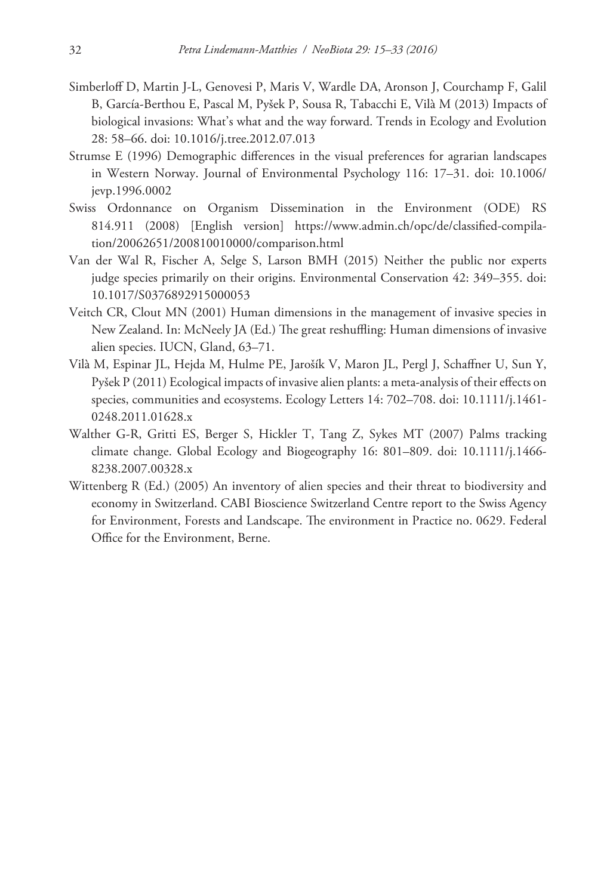- Simberloff D, Martin J-L, Genovesi P, Maris V, Wardle DA, Aronson J, Courchamp F, Galil B, García-Berthou E, Pascal M, Pyšek P, Sousa R, Tabacchi E, Vilà M (2013) Impacts of biological invasions: What's what and the way forward. Trends in Ecology and Evolution 28: 58–66. [doi: 10.1016/j.tree.2012.07.013](http://dx.doi.org/10.1016/j.tree.2012.07.013)
- Strumse E (1996) Demographic differences in the visual preferences for agrarian landscapes in Western Norway. Journal of Environmental Psychology 116: 17–31. [doi: 10.1006/](http://dx.doi.org/10.1006/jevp.1996.0002) [jevp.1996.0002](http://dx.doi.org/10.1006/jevp.1996.0002)
- Swiss Ordonnance on Organism Dissemination in the Environment (ODE) RS 814.911 (2008) [English version] [https://www.admin.ch/opc/de/classified-compila](https://www.admin.ch/opc/de/classified-compilation/20062651/200810010000/comparison.html)[tion/20062651/200810010000/comparison.html](https://www.admin.ch/opc/de/classified-compilation/20062651/200810010000/comparison.html)
- Van der Wal R, Fischer A, Selge S, Larson BMH (2015) Neither the public nor experts judge species primarily on their origins. Environmental Conservation 42: 349–355. [doi:](http://dx.doi.org/10.1017/S0376892915000053) [10.1017/S0376892915000053](http://dx.doi.org/10.1017/S0376892915000053)
- Veitch CR, Clout MN (2001) Human dimensions in the management of invasive species in New Zealand. In: McNeely JA (Ed.) The great reshuffling: Human dimensions of invasive alien species. IUCN, Gland, 63–71.
- Vilà M, Espinar JL, Hejda M, Hulme PE, Jarošík V, Maron JL, Pergl J, Schaffner U, Sun Y, Pyšek P (2011) Ecological impacts of invasive alien plants: a meta-analysis of their effects on species, communities and ecosystems. Ecology Letters 14: 702–708. [doi: 10.1111/j.1461-](http://dx.doi.org/10.1111/j.1461-0248.2011.01628.x) [0248.2011.01628.x](http://dx.doi.org/10.1111/j.1461-0248.2011.01628.x)
- Walther G-R, Gritti ES, Berger S, Hickler T, Tang Z, Sykes MT (2007) Palms tracking climate change. Global Ecology and Biogeography 16: 801–809. [doi: 10.1111/j.1466-](http://dx.doi.org/10.1111/j.1466-8238.2007.00328.x) [8238.2007.00328.x](http://dx.doi.org/10.1111/j.1466-8238.2007.00328.x)
- Wittenberg R (Ed.) (2005) An inventory of alien species and their threat to biodiversity and economy in Switzerland. CABI Bioscience Switzerland Centre report to the Swiss Agency for Environment, Forests and Landscape. The environment in Practice no. 0629. Federal Office for the Environment, Berne.